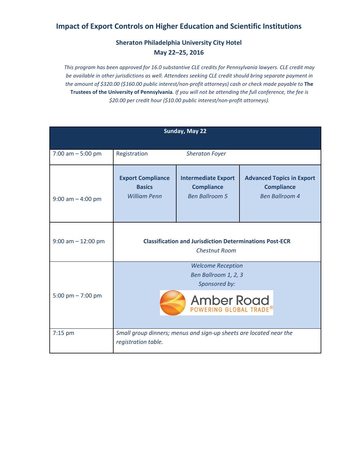## **Impact of Export Controls on Higher Education and Scientific Institutions**

## **Sheraton Philadelphia University City Hotel May 22–25, 2016**

*This program has been approved for 16.0 substantive CLE credits for Pennsylvania lawyers. CLE credit may be available in other jurisdictions as well. Attendees seeking CLE credit should bring separate payment in the amount of \$320.00 (\$160.00 public interest/non-profit attorneys) cash or check made payable to* **The Trustees of the University of Pennsylvania**. *If you will not be attending the full conference, the fee is \$20.00 per credit hour (\$10.00 public interest/non-profit attorneys).*

| Sunday, May 22        |                                                                                        |                                                                          |                                                                                |  |  |  |  |  |
|-----------------------|----------------------------------------------------------------------------------------|--------------------------------------------------------------------------|--------------------------------------------------------------------------------|--|--|--|--|--|
| 7:00 am $-5:00$ pm    | Registration                                                                           | <b>Sheraton Foyer</b>                                                    |                                                                                |  |  |  |  |  |
| $9:00$ am $-4:00$ pm  | <b>Export Compliance</b><br><b>Basics</b><br><b>William Penn</b>                       | <b>Intermediate Export</b><br><b>Compliance</b><br><b>Ben Ballroom 5</b> | <b>Advanced Topics in Export</b><br><b>Compliance</b><br><b>Ben Ballroom 4</b> |  |  |  |  |  |
| $9:00$ am $-12:00$ pm | <b>Classification and Jurisdiction Determinations Post-ECR</b><br><b>Chestnut Room</b> |                                                                          |                                                                                |  |  |  |  |  |
| 5:00 pm $- 7:00$ pm   | <b>Welcome Reception</b><br>Ben Ballroom 1, 2, 3<br>Sponsored by:                      |                                                                          |                                                                                |  |  |  |  |  |
|                       | <b>Amber Road</b>                                                                      |                                                                          |                                                                                |  |  |  |  |  |
| $7:15$ pm             | registration table.                                                                    | Small group dinners; menus and sign-up sheets are located near the       |                                                                                |  |  |  |  |  |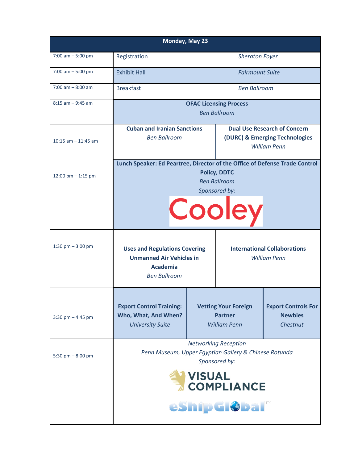| Monday, May 23        |                                                                                                                                                              |                                                                      |                                                            |                                                                                              |  |  |
|-----------------------|--------------------------------------------------------------------------------------------------------------------------------------------------------------|----------------------------------------------------------------------|------------------------------------------------------------|----------------------------------------------------------------------------------------------|--|--|
| $7:00$ am $-5:00$ pm  | Registration                                                                                                                                                 | <b>Sheraton Foyer</b>                                                |                                                            |                                                                                              |  |  |
| 7:00 am $-5:00$ pm    | <b>Exhibit Hall</b>                                                                                                                                          | <b>Fairmount Suite</b>                                               |                                                            |                                                                                              |  |  |
| $7:00$ am $-8:00$ am  | <b>Breakfast</b>                                                                                                                                             | <b>Ben Ballroom</b>                                                  |                                                            |                                                                                              |  |  |
| $8:15$ am $-9:45$ am  | <b>OFAC Licensing Process</b><br><b>Ben Ballroom</b>                                                                                                         |                                                                      |                                                            |                                                                                              |  |  |
| 10:15 am $-$ 11:45 am | <b>Cuban and Iranian Sanctions</b><br><b>Ben Ballroom</b>                                                                                                    |                                                                      |                                                            | <b>Dual Use Research of Concern</b><br>(DURC) & Emerging Technologies<br><b>William Penn</b> |  |  |
| 12:00 pm $-$ 1:15 pm  | Lunch Speaker: Ed Peartree, Director of the Office of Defense Trade Control<br><b>Policy, DDTC</b><br><b>Ben Ballroom</b><br>Sponsored by:<br>Cooley         |                                                                      |                                                            |                                                                                              |  |  |
| 1:30 pm $-3:00$ pm    | <b>Uses and Regulations Covering</b><br><b>Unmanned Air Vehicles in</b><br><b>Academia</b><br><b>Ben Ballroom</b>                                            |                                                                      | <b>International Collaborations</b><br><b>William Penn</b> |                                                                                              |  |  |
| $3:30$ pm $-4:45$ pm  | <b>Export Control Training:</b><br>Who, What, And When?<br><b>University Suite</b>                                                                           | <b>Vetting Your Foreign</b><br><b>Partner</b><br><b>William Penn</b> |                                                            | <b>Export Controls For</b><br><b>Newbies</b><br>Chestnut                                     |  |  |
| 5:30 pm $-8:00$ pm    | <b>Networking Reception</b><br>Penn Museum, Upper Egyptian Gallery & Chinese Rotunda<br>Sponsored by:<br><b>VISUAL</b><br><b>COMPLIANCE</b><br>eship Global® |                                                                      |                                                            |                                                                                              |  |  |
|                       |                                                                                                                                                              |                                                                      |                                                            |                                                                                              |  |  |